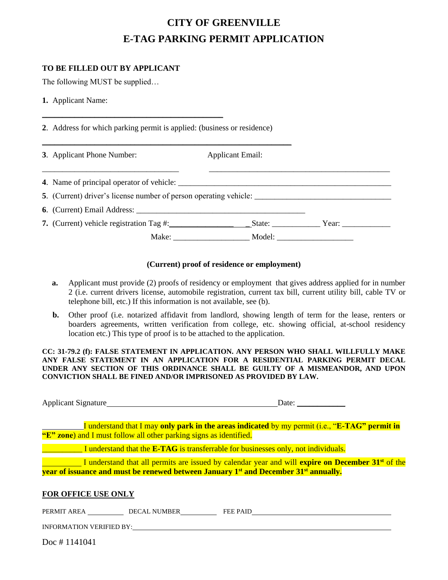# **CITY OF GREENVILLE E-TAG PARKING PERMIT APPLICATION**

## **TO BE FILLED OUT BY APPLICANT**

The following MUST be supplied…

**1.** Applicant Name:

**2**. Address for which parking permit is applied: (business or residence)

\_\_\_\_\_\_\_\_\_\_\_\_\_\_\_\_\_\_\_\_\_\_\_\_\_\_\_\_\_\_\_\_\_\_\_\_\_\_\_\_\_\_\_\_\_

| 3. Applicant Phone Number: | <b>Applicant Email:</b>                                                                              |  |
|----------------------------|------------------------------------------------------------------------------------------------------|--|
|                            | 4. Name of principal operator of vehicle:                                                            |  |
|                            | 5. (Current) driver's license number of person operating vehicle: __________________________________ |  |
|                            |                                                                                                      |  |
|                            |                                                                                                      |  |
|                            |                                                                                                      |  |

### **(Current) proof of residence or employment)**

- **a.** Applicant must provide (2) proofs of residency or employment that gives address applied for in number 2 (i.e. current drivers license, automobile registration, current tax bill, current utility bill, cable TV or telephone bill, etc.) If this information is not available, see (b).
- **b.** Other proof (i.e. notarized affidavit from landlord, showing length of term for the lease, renters or boarders agreements, written verification from college, etc. showing official, at-school residency location etc.) This type of proof is to be attached to the application.

**CC: 31-79.2 (f): FALSE STATEMENT IN APPLICATION. ANY PERSON WHO SHALL WILLFULLY MAKE ANY FALSE STATEMENT IN AN APPLICATION FOR A RESIDENTIAL PARKING PERMIT DECAL UNDER ANY SECTION OF THIS ORDINANCE SHALL BE GUILTY OF A MISMEANDOR, AND UPON CONVICTION SHALL BE FINED AND/OR IMPRISONED AS PROVIDED BY LAW.**

Applicant Signature Date: \_\_\_\_\_\_\_\_\_\_\_\_

I understand that I may **only park in the areas indicated** by my permit (i.e., "**E-TAG" permit in "E" zone**) and I must follow all other parking signs as identified.

\_\_\_\_\_\_\_\_\_\_ I understand that the **E-TAG** is transferrable for businesses only, not individuals.

I understand that all permits are issued by calendar year and will **expire on December 31st** of the **year of issuance and must be renewed between January 1st and December 31st annually.**

#### **FOR OFFICE USE ONLY**

PERMIT AREA DECAL NUMBER FEE PAID

INFORMATION VERIFIED BY:

Doc # 1141041